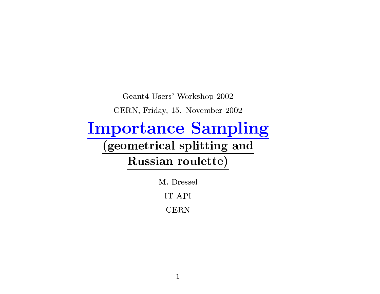Geant<br/>4 Users' Workshop 2002

CERN, Friday, 15. November 2002

#### **Importance Sampling**

#### (geometrical splitting and

Russian roulette)

M. Dressel

IT-API

**CERN**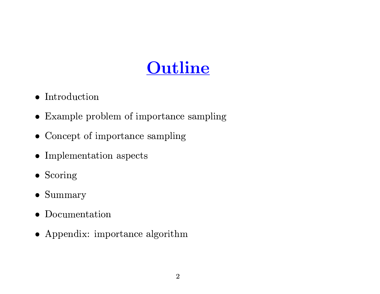## Outline

- $\bullet$  Introduction
- Example problem of importance sampling
- Concept of importance sampling
- $\bullet$  Implementation aspects
- $\bullet$  Scoring
- $\bullet$  Summary
- Documentation
- Appendix: importance algorithm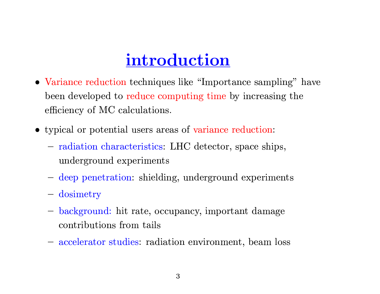#### introduction

- Variance reduction techniques like "Importance sampling" have been developed to reduce computing time by increasing the efficiency of MC calculations.
- typical or potential users areas of variance reduction:
	- radiation characteristics: LHC detector, space ships, underground experiments
	- deep penetration: shielding, underground experiments
	- dosimetry
	- background: hit rate, occupancy, important damage contributions from tails
	- accelerator studies: radiation environment, beam loss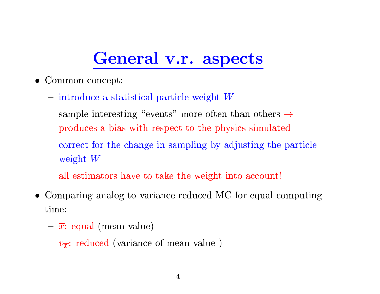#### General v.r. aspects

- $\bullet$  Common concept:
	- introduce a statistical particle weight  $W$
	- sample interesting "events" more often than others  $\rightarrow$ produces a bias with respect to the physics simulated
	- correct for the change in sampling by adjusting the particle weight  $W$
	- all estimators have to take the weight into account!
- Comparing analog to variance reduced MC for equal computing time:
	- $-\overline{x}$ : equal (mean value)
	- $-v_{\overline{x}}$ : reduced (variance of mean value)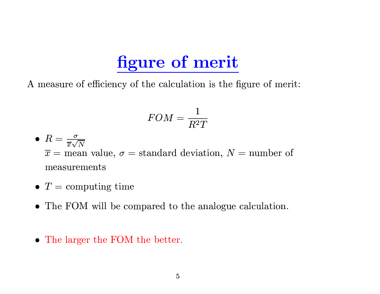## figure of merit

A measure of efficiency of the calculation is the figure of merit:

$$
FOM = \frac{1}{R^2T}
$$

- $R = \frac{\sigma}{\overline{x}\sqrt{N}}$  $\overline{x}$  = mean value,  $\sigma$  = standard deviation, N = number of measurements
- $T =$  computing time
- The FOM will be compared to the analogue calculation.
- The larger the FOM the better.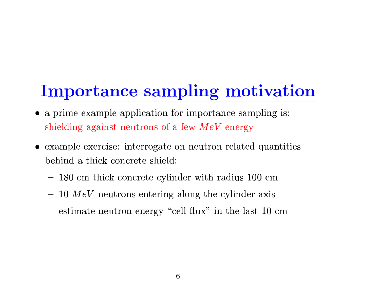# Importance sampling motivation

- a prime example application for importance sampling is: shielding against neutrons of a few  $MeV$  energy
- example exercise: interrogate on neutron related quantities behind a thick concrete shield:
	- 180 cm thick concrete cylinder with radius 100 cm
	- $-10$  MeV neutrons entering along the cylinder axis
	- estimate neutron energy "cell flux" in the last 10 cm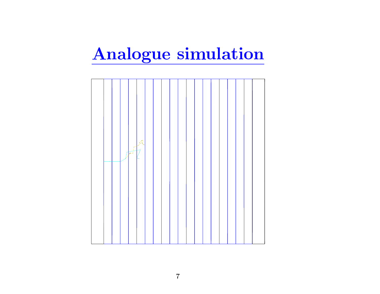# Analogue simulation

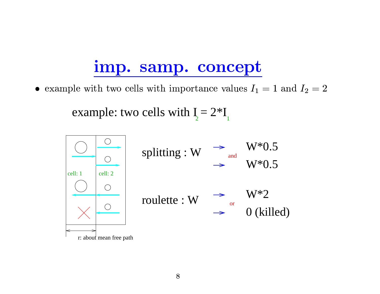#### imp. samp. concept

• example with two cells with importance values  $I_1 = 1$  and  $I_2 = 2$ 

example: two cells with  $I_2 = 2*I_1$ 

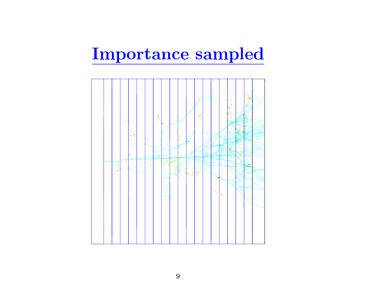### Importance sampled

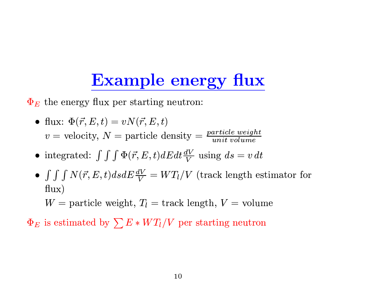## **Example energy flux**

 $\Phi_E$  the energy flux per starting neutron:

• flux: 
$$
\Phi(\vec{r}, E, t) = vN(\vec{r}, E, t)
$$
  
 $v =$  velocity,  $N =$  particle density =  $\frac{particle\ weight}{unit\ volume}$ 

- integrated:  $\int \int \Phi(\vec{r}, E, t) dE dt \frac{dV}{V}$  using  $ds = v dt$
- $\int \int \int N(\vec{r}, E, t) ds dE \frac{dV}{V} = WT_l/V$  (track length estimator for  $flux)$

 $W =$  particle weight,  $T_l =$  track length,  $V =$  volume

 $\Phi_E$  is estimated by  $\sum E*WT_l/V$  per starting neutron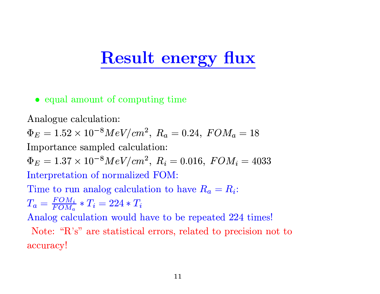#### **Result energy flux**

#### • equal amount of computing time

Analogue calculation:

 $\Phi_E = 1.52 \times 10^{-8} MeV/cm^2$ ,  $R_a = 0.24$ ,  $FOM_a = 18$ 

Importance sampled calculation:

 $\Phi_E = 1.37 \times 10^{-8} MeV/cm^2$ ,  $R_i = 0.016$ ,  $FOM_i = 4033$ Interpretation of normalized FOM:

Time to run analog calculation to have  $R_a = R_i$ :

$$
T_a = \frac{FOM_i}{FOM_a} * T_i = 224 * T_i
$$

Analog calculation would have to be repeated 224 times!

Note: "R's" are statistical errors, related to precision not to accuracy!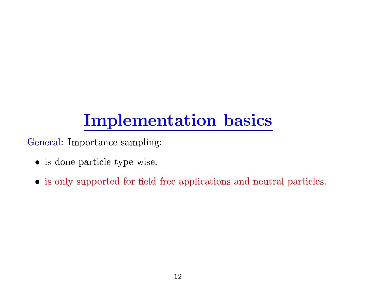# **Implementation basics**

General: Importance sampling:

- is done particle type wise.
- is only supported for field free applications and neutral particles.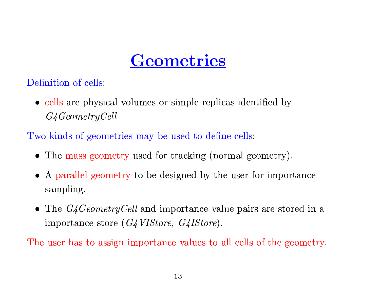#### Geometries

Definition of cells:

• cells are physical volumes or simple replicas identified by  $G4 Geometry Cell$ 

Two kinds of geometries may be used to define cells:

- The mass geometry used for tracking (normal geometry).
- A parallel geometry to be designed by the user for importance sampling.
- The  $G4 Geometry$ Cell and importance value pairs are stored in a importance store (G4VIStore, G4IStore).

The user has to assign importance values to all cells of the geometry.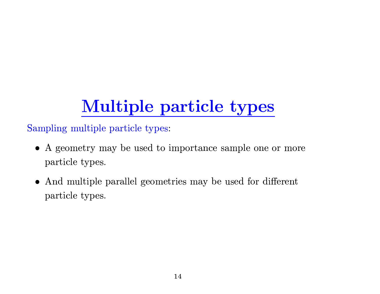# **Multiple particle types**

Sampling multiple particle types:

- A geometry may be used to importance sample one or more particle types.
- And multiple parallel geometries may be used for different particle types.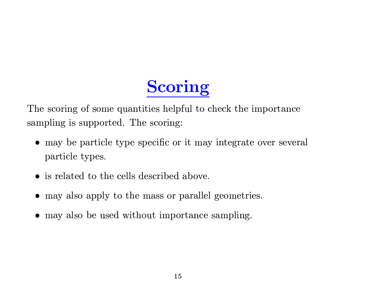# Scoring

The scoring of some quantities helpful to check the importance sampling is supported. The scoring:

- may be particle type specific or it may integrate over several particle types.
- is related to the cells described above.
- may also apply to the mass or parallel geometries.
- may also be used without importance sampling.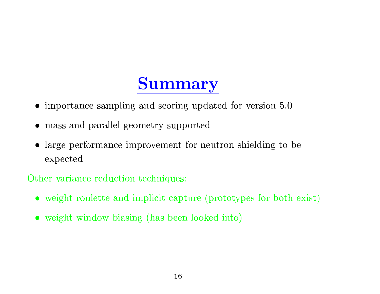### **Summary**

- $\bullet$  importance sampling and scoring updated for version  $5.0$
- mass and parallel geometry supported
- large performance improvement for neutron shielding to be expected

Other variance reduction techniques:

- weight roulette and implicit capture (prototypes for both exist)
- weight window biasing (has been looked into)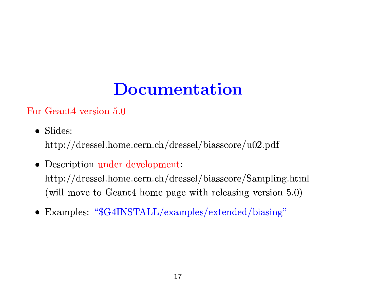# Documentation

For Geant4 version 5.0

 $\bullet$  Slides:

 $\frac{http://dressel.home.cern.ch/dressel/biasscore/u02.pdf}{$ 

• Description under development:

http://dressel.home.cern.ch/dressel/biasscore/Sampling.html (will move to Geant4 home page with releasing version 5.0)

• Examples: " $G4INSTALL/examples/extended/biasing"$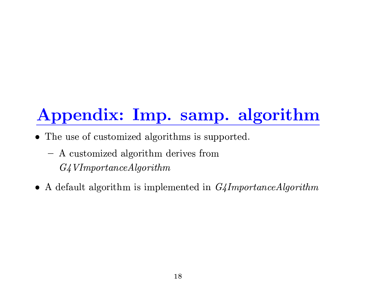# Appendix: Imp. samp. algorithm

- The use of customized algorithms is supported.
	- A customized algorithm derives from  $G4$ VImportanceAlgorithm
- A default algorithm is implemented in  $G_4$ ImportanceAlgorithm